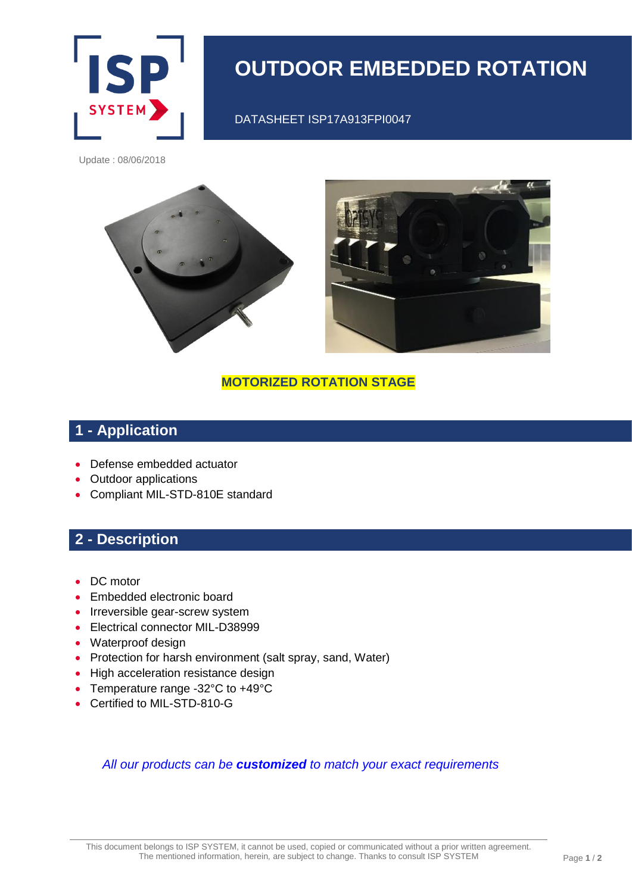

# **OUTDOOR EMBEDDED ROTATION**

DATASHEET ISP17A913FPI0047

Update : 08/06/2018



#### **MOTORIZED ROTATION STAGE**

# **1 - Application**

- Defense embedded actuator
- Outdoor applications
- Compliant MIL-STD-810E standard

### **2 - Description**

- DC motor
- Embedded electronic board
- Irreversible gear-screw system
- Electrical connector MIL-D38999
- Waterproof design
- Protection for harsh environment (salt spray, sand, Water)
- High acceleration resistance design
- Temperature range -32°C to +49°C
- Certified to MIL-STD-810-G

#### *All our products can be customized to match your exact requirements*